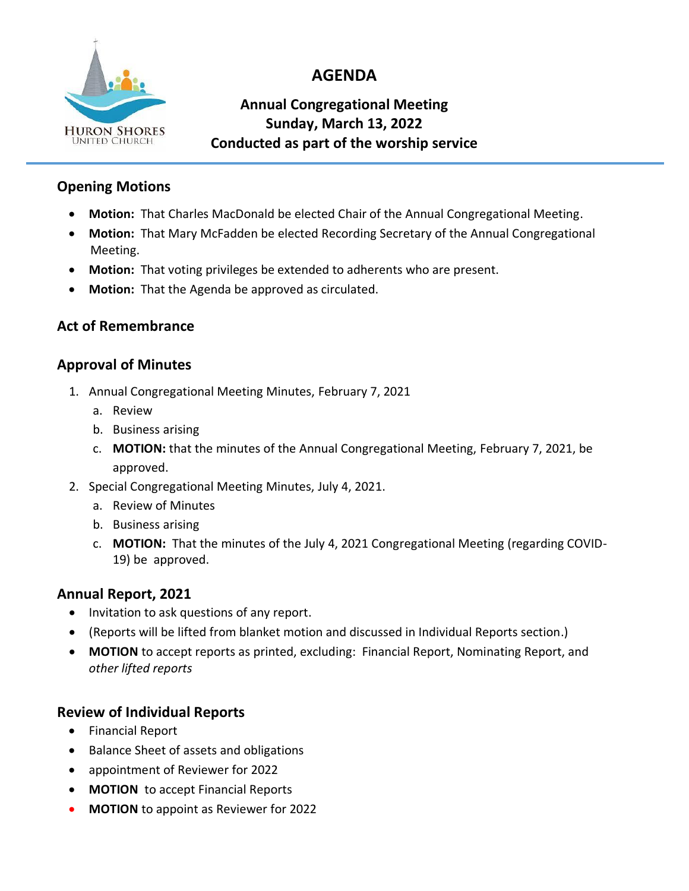

# **AGENDA**

# **Annual Congregational Meeting Sunday, March 13, 2022 Conducted as part of the worship service**

### **Opening Motions**

- **Motion:** That Charles MacDonald be elected Chair of the Annual Congregational Meeting.
- **Motion:** That Mary McFadden be elected Recording Secretary of the Annual Congregational Meeting.
- **Motion:** That voting privileges be extended to adherents who are present.
- **Motion:** That the Agenda be approved as circulated.

# **Act of Remembrance**

#### **Approval of Minutes**

- 1. Annual Congregational Meeting Minutes, February 7, 2021
	- a. Review
	- b. Business arising
	- c. **MOTION:** that the minutes of the Annual Congregational Meeting, February 7, 2021, be approved.
- 2. Special Congregational Meeting Minutes, July 4, 2021.
	- a. Review of Minutes
	- b. Business arising
	- c. **MOTION:** That the minutes of the July 4, 2021 Congregational Meeting (regarding COVID-19) be approved.

# **Annual Report, 2021**

- Invitation to ask questions of any report.
- (Reports will be lifted from blanket motion and discussed in Individual Reports section.)
- **MOTION** to accept reports as printed, excluding: Financial Report, Nominating Report, and *other lifted reports*

# **Review of Individual Reports**

- Financial Report
- Balance Sheet of assets and obligations
- appointment of Reviewer for 2022
- **MOTION** to accept Financial Reports
- **MOTION** to appoint as Reviewer for 2022